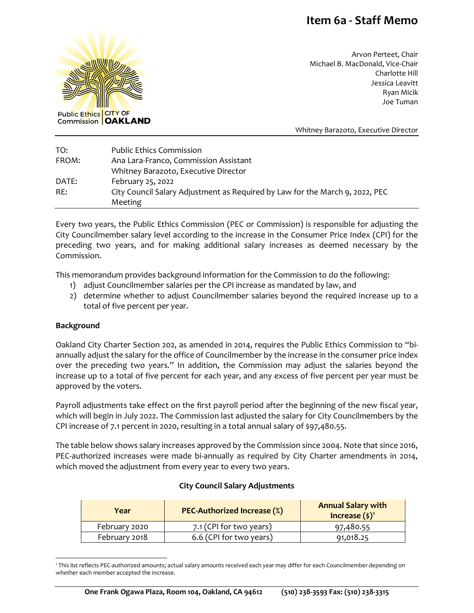# **Item 6a - Staff Memo**



Arvon Perteet, Chair Michael B. MacDonald, Vice-Chair Charlotte Hill Jessica Leavitt Ryan Micik Joe Tuman

Whitney Barazoto, Executive Director

| TO:   | <b>Public Ethics Commission</b>                                              |
|-------|------------------------------------------------------------------------------|
| FROM: | Ana Lara-Franco, Commission Assistant                                        |
|       | Whitney Barazoto, Executive Director                                         |
| DATE: | February 25, 2022                                                            |
| RE:   | City Council Salary Adjustment as Required by Law for the March 9, 2022, PEC |
|       | Meeting                                                                      |

Every two years, the Public Ethics Commission (PEC or Commission) is responsible for adjusting the City Councilmember salary level according to the increase in the Consumer Price Index (CPI) for the preceding two years, and for making additional salary increases as deemed necessary by the Commission.

This memorandum provides background information for the Commission to do the following:

- 1) adjust Councilmember salaries per the CPI increase as mandated by law, and
- 2) determine whether to adjust Councilmember salaries beyond the required increase up to a total of five percent per year.

#### **Background**

Oakland City Charter Section 202, as amended in 2014, requires the Public Ethics Commission to "biannually adjust the salary for the office of Councilmember by the increase in the consumer price index over the preceding two years." In addition, the Commission may adjust the salaries beyond the increase up to a total of five percent for each year, and any excess of five percent per year must be approved by the voters.

Payroll adjustments take effect on the first payroll period after the beginning of the new fiscal year, which will begin in July 2022. The Commission last adjusted the salary for City Councilmembers by the CPI increase of 7.1 percent in 2020, resulting in a total annual salary of \$97,480.55.

The table below shows salary increases approved by the Commission since 2004. Note that since 2016, PEC-authorized increases were made bi-annually as required by City Charter amendments in 2014, which moved the adjustment from every year to every two years.

#### **City Council Salary Adjustments**

| Year          | <b>PEC-Authorized Increase (%)</b> | <b>Annual Salary with</b><br>Increase $(\xi)^1$ |
|---------------|------------------------------------|-------------------------------------------------|
| February 2020 | 7.1 (CPI for two years)            | 97,480.55                                       |
| February 2018 | 6.6 (CPI for two years)            | 91,018.25                                       |

<span id="page-0-0"></span><sup>1</sup> This list reflects PEC-authorized amounts; actual salary amounts received each year may differ for each Councilmember depending on whether each member accepted the increase.